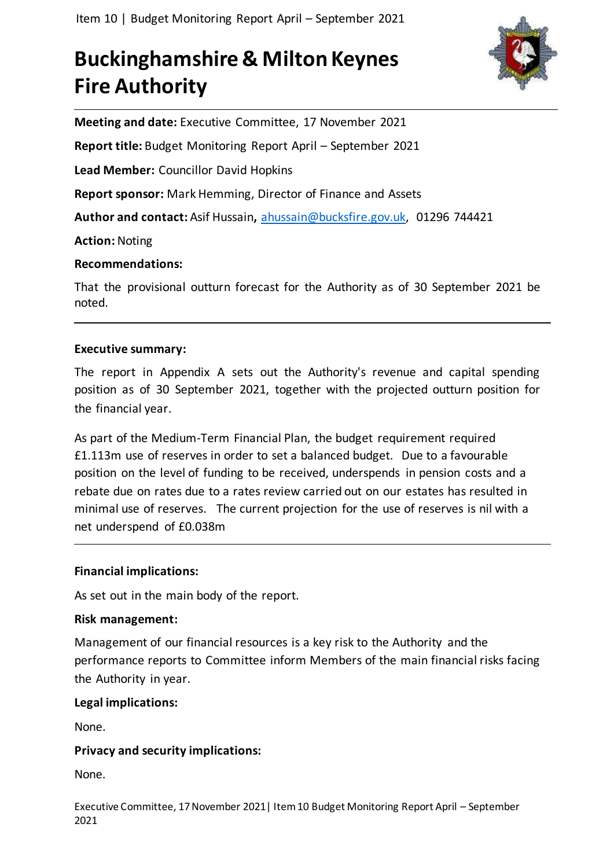# **Buckinghamshire & Milton Keynes Fire Authority**



**Meeting and date:** Executive Committee, 17 November 2021

**Report title:** Budget Monitoring Report April – September 2021

**Lead Member:** Councillor David Hopkins

**Report sponsor:** Mark Hemming, Director of Finance and Assets

**Author and contact:** Asif Hussain**,** [ahussain@bucksfire.gov.uk,](mailto:ahussain@bucksfire.gov.uk) 01296 744421

**Action:** Noting

**Recommendations:**

That the provisional outturn forecast for the Authority as of 30 September 2021 be noted.

# **Executive summary:**

The report in Appendix A sets out the Authority's revenue and capital spending position as of 30 September 2021, together with the projected outturn position for the financial year.

As part of the Medium-Term Financial Plan, the budget requirement required £1.113m use of reserves in order to set a balanced budget. Due to a favourable position on the level of funding to be received, underspends in pension costs and a rebate due on rates due to a rates review carried out on our estates has resulted in minimal use of reserves. The current projection for the use of reserves is nil with a net underspend of £0.038m

# **Financial implications:**

As set out in the main body of the report.

# **Risk management:**

Management of our financial resources is a key risk to the Authority and the performance reports to Committee inform Members of the main financial risks facing the Authority in year.

# **Legal implications:**

None.

# **Privacy and security implications:**

None.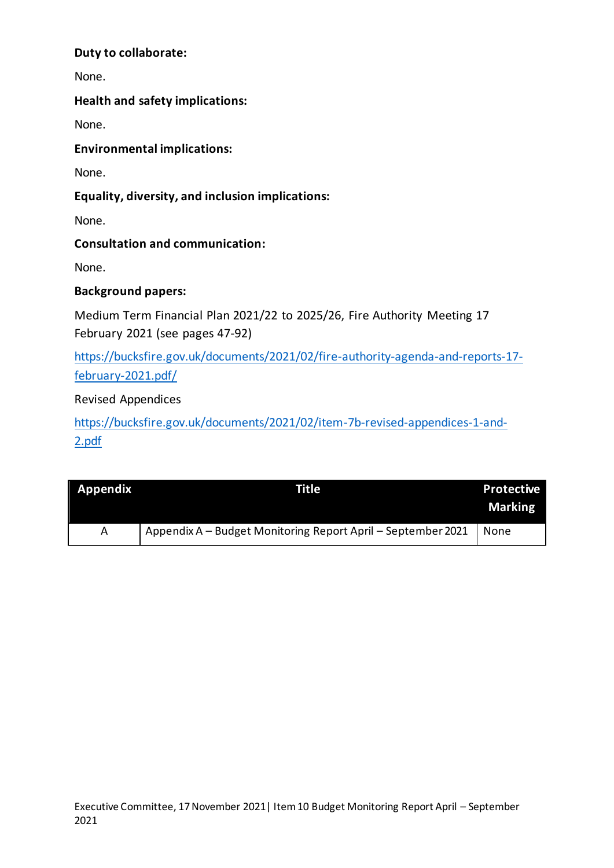# **Duty to collaborate:**

None.

# **Health and safety implications:**

None.

**Environmental implications:**

None.

# **Equality, diversity, and inclusion implications:**

None.

**Consultation and communication:**

None.

# **Background papers:**

Medium Term Financial Plan 2021/22 to 2025/26, Fire Authority Meeting 17 February 2021 (see pages 47-92)

[https://bucksfire.gov.uk/documents/2021/02/fire-authority-agenda-and-reports-17](https://bucksfire.gov.uk/documents/2021/02/fire-authority-agenda-and-reports-17-february-2021.pdf/) [february-2021.pdf/](https://bucksfire.gov.uk/documents/2021/02/fire-authority-agenda-and-reports-17-february-2021.pdf/)

Revised Appendices

[https://bucksfire.gov.uk/documents/2021/02/item-7b-revised-appendices-1-and-](https://bucksfire.gov.uk/documents/2021/02/item-7b-revised-appendices-1-and-2.pdf)[2.pdf](https://bucksfire.gov.uk/documents/2021/02/item-7b-revised-appendices-1-and-2.pdf)

| Appendix | Title                                                        | <b>Protective</b><br><b>Marking</b> |
|----------|--------------------------------------------------------------|-------------------------------------|
| A        | Appendix A - Budget Monitoring Report April - September 2021 | None                                |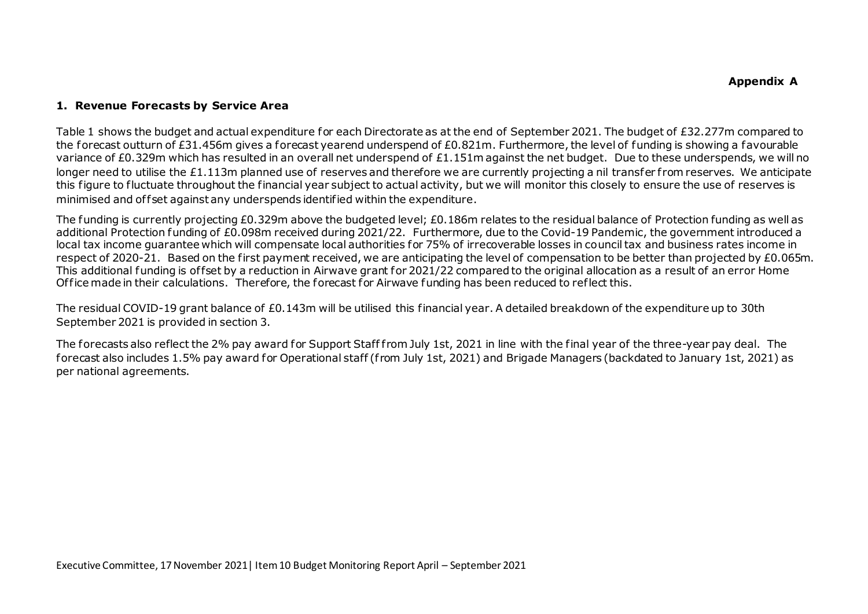#### **1. Revenue Forecasts by Service Area**

Table 1 shows the budget and actual expenditure for each Directorate as at the end of September 2021. The budget of £32.277m compared to the forecast outturn of £31.456m gives a forecast yearend underspend of £0.821m. Furthermore, the level of funding is showing a favourable variance of £0.329m which has resulted in an overall net underspend of £1.151m against the net budget. Due to these underspends, we will no longer need to utilise the £1.113m planned use of reserves and therefore we are currently projecting a nil transfer f rom reserves. We anticipate this figure to fluctuate throughout the financial year subject to actual activity, but we will monitor this closely to ensure the use of reserves is minimised and offset against any underspends identified within the expenditure.

The funding is currently projecting £0.329m above the budgeted level; £0.186m relates to the residual balance of Protection funding as well as additional Protection funding of £0.098m received during 2021/22. Furthermore, due to the Covid-19 Pandemic, the government introduced a local tax income guarantee which will compensate local authorities for 75% of irrecoverable losses in council tax and business rates income in respect of 2020-21. Based on the first payment received, we are anticipating the level of compensation to be better than projected by £0.065m. This additional funding is of fset by a reduction in Airwave grant for 2021/22 compared to the original allocation as a result of an error Home Of fice made in their calculations. Therefore, the forecast for Airwave funding has been reduced to reflect this.

The residual COVID-19 grant balance of £0.143m will be utilised this financial year. A detailed breakdown of the expenditure up to 30th September 2021 is provided in section 3.

The forecasts also reflect the 2% pay award for Support Staff from July 1st, 2021 in line with the final year of the three-year pay deal. The forecast also includes 1.5% pay award for Operational staff (f rom July 1st, 2021) and Brigade Managers (backdated to January 1st, 2021) as per national agreements.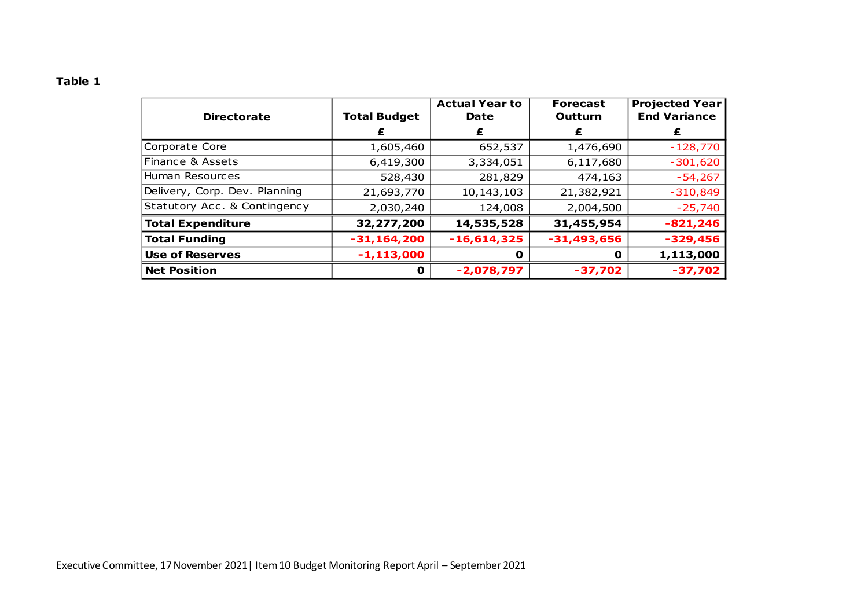| ×<br>۰.<br>۰, |  |
|---------------|--|
|---------------|--|

| <b>Directorate</b>            | <b>Total Budget</b> | <b>Actual Year to</b><br>Date | <b>Forecast</b><br>Outturn | <b>Projected Year</b><br><b>End Variance</b> |
|-------------------------------|---------------------|-------------------------------|----------------------------|----------------------------------------------|
|                               |                     | £                             | £                          | £                                            |
| Corporate Core                | 1,605,460           | 652,537                       | 1,476,690                  | $-128,770$                                   |
| Finance & Assets              | 6,419,300           | 3,334,051                     | 6,117,680                  | $-301,620$                                   |
| Human Resources               | 528,430             | 281,829                       | 474,163                    | $-54,267$                                    |
| Delivery, Corp. Dev. Planning | 21,693,770          | 10,143,103                    | 21,382,921                 | $-310,849$                                   |
| Statutory Acc. & Contingency  | 2,030,240           | 124,008                       | 2,004,500                  | $-25,740$                                    |
| <b>Total Expenditure</b>      | 32,277,200          | 14,535,528                    | 31,455,954                 | $-821,246$                                   |
| <b>Total Funding</b>          | $-31,164,200$       | $-16,614,325$                 | $-31,493,656$              | $-329,456$                                   |
| <b>Use of Reserves</b>        | $-1, 113, 000$      | O                             | O                          | 1,113,000                                    |
| <b>Net Position</b>           | $\mathbf{O}$        | $-2,078,797$                  | $-37,702$                  | $-37,702$                                    |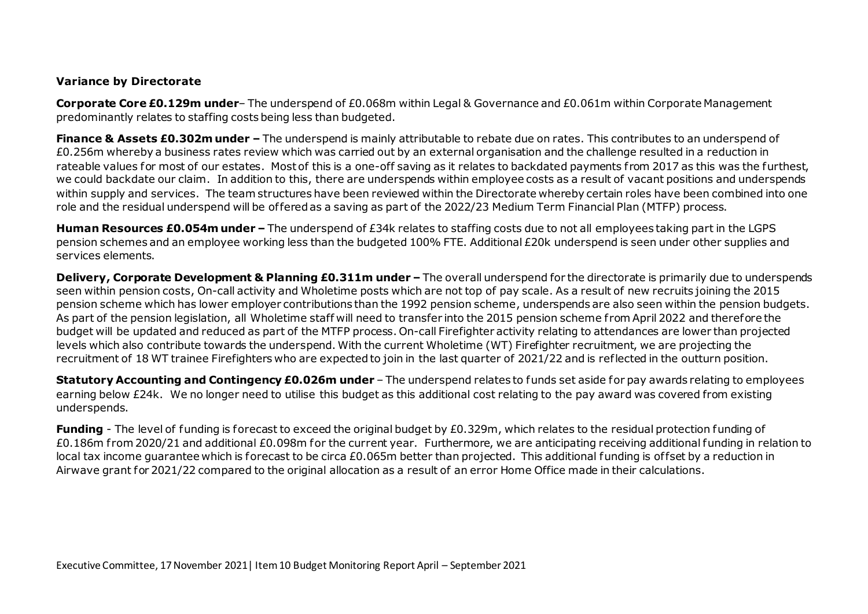#### **Variance by Directorate**

**Corporate Core £0.129m under**– The underspend of £0.068m within Legal & Governance and £0.061m within Corporate Management predominantly relates to staffing costs being less than budgeted.

**Finance & Assets £0.302m under –** The underspend is mainly attributable to rebate due on rates. This contributes to an underspend of £0.256m whereby a business rates review which was carried out by an external organisation and the challenge resulted in a reduction in rateable values for most of our estates. Most of this is a one-off saving as it relates to backdated payments from 2017 as this was the furthest. we could backdate our claim. In addition to this, there are underspends within employee costs as a result of vacant positions and underspends within supply and services. The team structures have been reviewed within the Directorate whereby certain roles have been combined into one role and the residual underspend will be of fered as a saving as part of the 2022/23 Medium Term Financial Plan (MTFP) process.

**Human Resources £0.054m under –** The underspend of £34k relates to staffing costs due to not all employees taking part in the LGPS pension schemes and an employee working less than the budgeted 100% FTE. Additional £20k underspend is seen under other supplies and services elements.

**Delivery, Corporate Development & Planning £0.311m under –** The overall underspend for the directorate is primarily due to underspends seen within pension costs, On-call activity and Wholetime posts which are not top of pay scale. As a result of new recruits joining the 2015 pension scheme which has lower employer contributions than the 1992 pension scheme, underspends are also seen within the pension budgets. As part of the pension legislation, all Wholetime staff will need to transfer into the 2015 pension scheme from April 2022 and therefore the budget will be updated and reduced as part of the MTFP process. On-call Firefighter activity relating to attendances are lower than projected levels which also contribute towards the underspend. With the current Wholetime (WT) Firefighter recruitment, we are projecting the recruitment of 18 WT trainee Firefighters who are expectedto join in the last quarter of 2021/22 and is reflected in the outturn position.

**Statutory Accounting and Contingency £0.026m under** – The underspend relates to funds set aside for pay awards relating to employees earning below £24k. We no longer need to utilise this budget as this additional cost relating to the pay award was covered from existing underspends.

**Funding** - The level of funding is forecast to exceed the original budget by £0.329m, which relates to the residual protection funding of £0.186m from 2020/21 and additional £0.098m for the current year. Furthermore, we are anticipating receiving additional funding in relation to local tax income guarantee which is forecast to be circa £0.065m better than projected. This additional funding is offset by a reduction in Airwave grant for 2021/22 compared to the original allocation as a result of an error Home Office made in their calculations.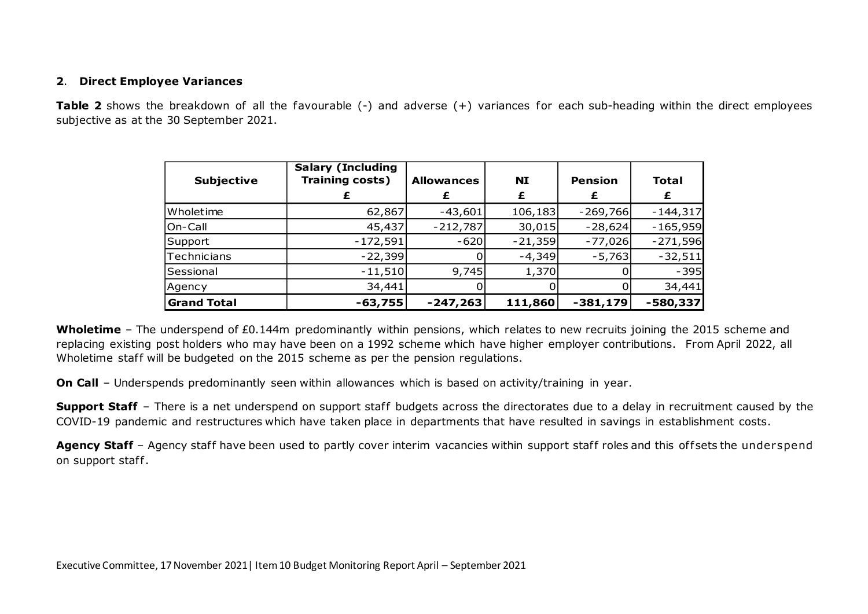#### **2**. **Direct Employee Variances**

**Table 2** shows the breakdown of all the favourable (-) and adverse (+) variances for each sub-heading within the direct employees subjective as at the 30 September 2021.

| <b>Subjective</b>  | <b>Salary (Including</b><br><b>Training costs)</b> | <b>Allowances</b><br>£ | <b>NI</b><br>£ | <b>Pension</b><br>£ | <b>Total</b><br>£ |
|--------------------|----------------------------------------------------|------------------------|----------------|---------------------|-------------------|
|                    |                                                    |                        |                |                     |                   |
| Wholetime          | 62,867                                             | $-43,601$              | 106,183        | $-269,766$          | $-144,317$        |
| On-Call            | 45,437                                             | $-212,787$             | 30,015         | $-28,624$           | $-165,959$        |
| Support            | $-172,591$                                         | $-620$                 | $-21,359$      | $-77,026$           | $-271,596$        |
| Technicians        | $-22,399$                                          |                        | $-4,349$       | $-5,763$            | $-32,511$         |
| Sessional          | $-11,510$                                          | 9,745                  | 1,370          |                     | $-395$            |
| Agency             | 34,441                                             |                        |                |                     | 34,441            |
| <b>Grand Total</b> | $-63,755$                                          | $-247,263$             | 111,860        | $-381,179$          | $-580,337$        |

**Wholetime** – The underspend of £0.144m predominantly within pensions, which relates to new recruits joining the 2015 scheme and replacing existing post holders who may have been on a 1992 scheme which have higher employer contributions. From April 2022, all Wholetime staff will be budgeted on the 2015 scheme as per the pension regulations.

**On Call** – Underspends predominantly seen within allowances which is based on activity/training in year.

**Support Staff** – There is a net underspend on support staff budgets across the directorates due to a delay in recruitment caused by the COVID-19 pandemic and restructures which have taken place in departments that have resulted in savings in establishment costs.

Agency Staff - Agency staff have been used to partly cover interim vacancies within support staff roles and this offsets the underspend on support staff.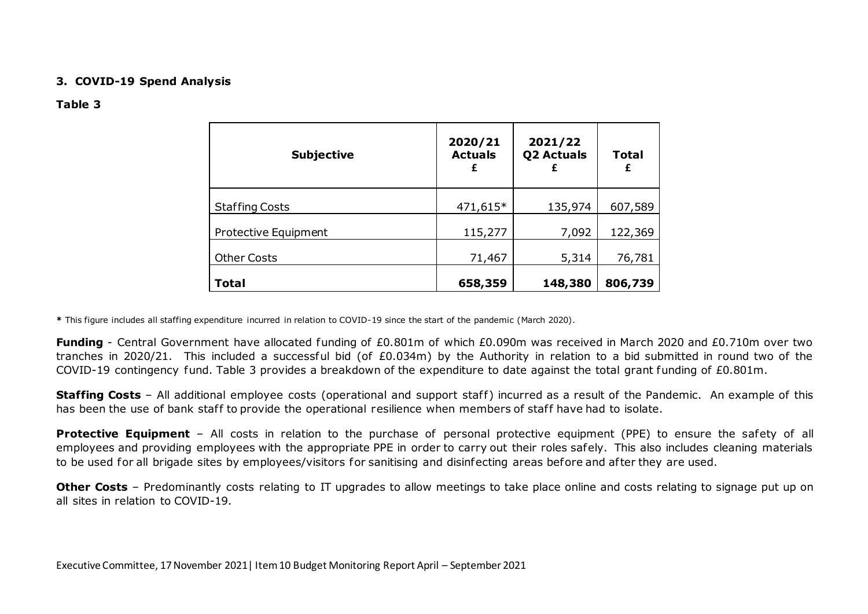#### **3. COVID-19 Spend Analysis**

#### **Table 3**

| <b>Subjective</b>     | 2020/21<br><b>Actuals</b><br>£ | 2021/22<br><b>Q2 Actuals</b><br>£ | <b>Total</b><br>£ |
|-----------------------|--------------------------------|-----------------------------------|-------------------|
| <b>Staffing Costs</b> | 471,615*                       | 135,974                           | 607,589           |
| Protective Equipment  | 115,277                        | 7,092                             | 122,369           |
| <b>Other Costs</b>    | 71,467                         | 5,314                             | 76,781            |
| <b>Total</b>          | 658,359                        | 148,380                           | 806,739           |

**\*** This figure includes all staffing expenditure incurred in relation to COVID-19 since the start of the pandemic (March 2020).

**Funding** - Central Government have allocated funding of £0.801m of which £0.090m was received in March 2020 and £0.710m over two tranches in 2020/21. This included a successful bid (of £0.034m) by the Authority in relation to a bid submitted in round two of the COVID-19 contingency fund. Table 3 provides a breakdown of the expenditure to date against the total grant funding of £0.801m.

**Staffing Costs** – All additional employee costs (operational and support staff) incurred as a result of the Pandemic. An example of this has been the use of bank staff to provide the operational resilience when members of staff have had to isolate.

**Protective Equipment** – All costs in relation to the purchase of personal protective equipment (PPE) to ensure the safety of all employees and providing employees with the appropriate PPE in order to carry out their roles safely. This also includes cleaning materials to be used for all brigade sites by employees/visitors for sanitising and disinfecting areas before and af ter they are used.

**Other Costs** – Predominantly costs relating to IT upgrades to allow meetings to take place online and costs relating to signage put up on all sites in relation to COVID-19.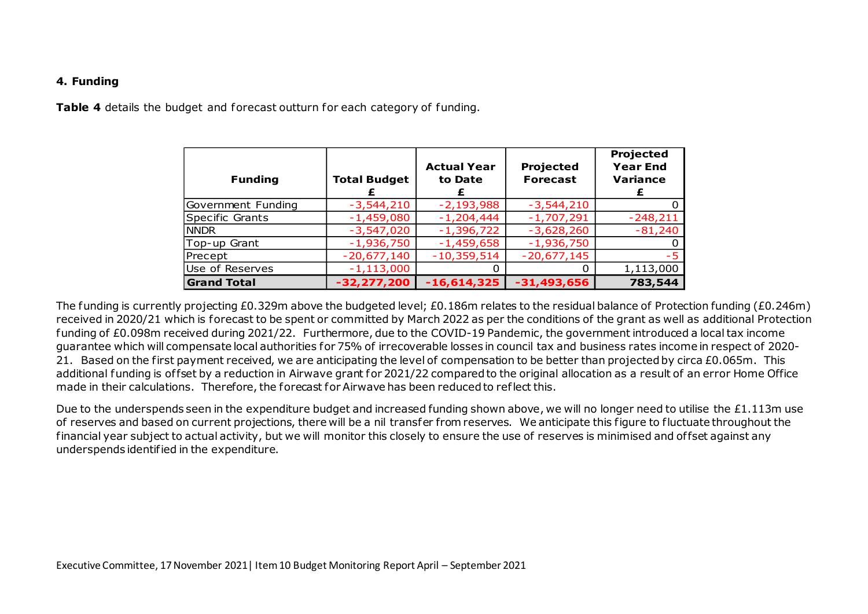#### **4. Funding**

**Table 4** details the budget and forecast outturn for each category of funding.

| <b>Funding</b>     | <b>Total Budget</b> | <b>Actual Year</b><br>to Date | Projected<br><b>Forecast</b> | Projected<br><b>Year End</b><br><b>Variance</b><br>£ |
|--------------------|---------------------|-------------------------------|------------------------------|------------------------------------------------------|
| Government Funding | $-3,544,210$        | $-2,193,988$                  | $-3,544,210$                 |                                                      |
| Specific Grants    | $-1,459,080$        | $-1,204,444$                  | $-1,707,291$                 | $-248,211$                                           |
| <b>NNDR</b>        | $-3,547,020$        | $-1,396,722$                  | $-3,628,260$                 | $-81,240$                                            |
| Top-up Grant       | $-1,936,750$        | $-1,459,658$                  | $-1,936,750$                 |                                                      |
| Precept            | $-20,677,140$       | $-10,359,514$                 | $-20,677,145$                | -5                                                   |
| Use of Reserves    | $-1,113,000$        |                               | $\Omega$                     | 1,113,000                                            |
| <b>Grand Total</b> | $-32,277,200$       | $-16,614,325$                 | $-31,493,656$                | 783,544                                              |

The funding is currently projecting £0.329m above the budgeted level; £0.186m relates to the residual balance of Protection funding (£0.246m) received in 2020/21 which is forecast to be spent or committed by March 2022 as per the conditions of the grant as well as additional Protection funding of £0.098m received during 2021/22. Furthermore, due to the COVID-19 Pandemic, the government introduced a local tax income guarantee which will compensate local authorities for 75% of irrecoverable losses in council tax and business rates income in respect of 2020- 21. Based on the first payment received, we are anticipating the level of compensation to be better than projected by circa £0.065m. This additional funding is offset by a reduction in Airwaye grant for 2021/22 compared to the original allocation as a result of an error Home Office made in their calculations. Therefore, the forecast for Airwave has been reduced to reflect this.

Due to the underspends seen in the expenditure budget and increased funding shown above, we will no longer need to utilise the £1.113m use of reserves and based on current projections, there will be a nil transfer from reserves. We anticipate this figure to fluctuate throughout the financial year subject to actual activity, but we will monitor this closely to ensure the use of reserves is minimised and offset against any underspends identified in the expenditure.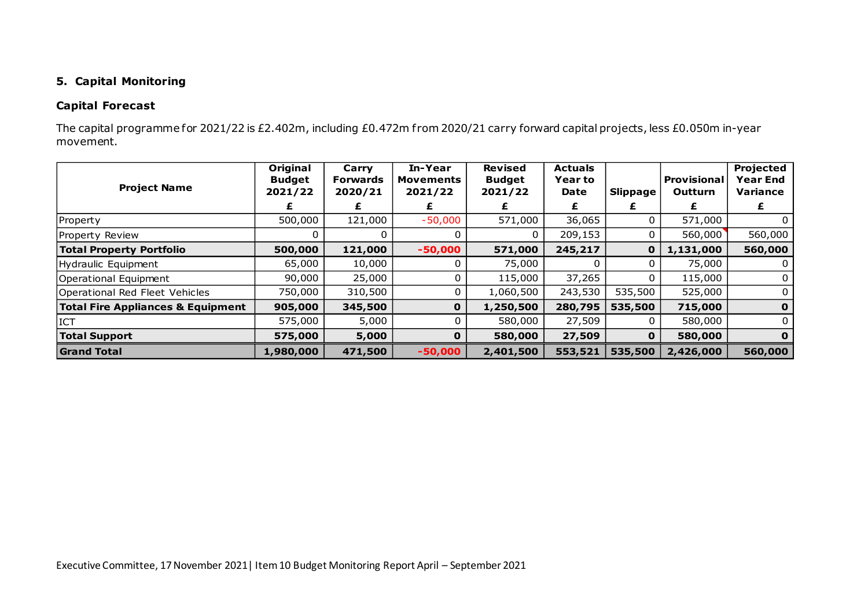# **5. Capital Monitoring**

# **Capital Forecast**

The capital programme for 2021/22 is £2.402m, including £0.472m from 2020/21 carry forward capital projects, less £0.050m in-year movement.

|                                              | Original                 | Carry                      | In-Year                     | <b>Revised</b>           | <b>Actuals</b>         |              |                                      | Projected                          |
|----------------------------------------------|--------------------------|----------------------------|-----------------------------|--------------------------|------------------------|--------------|--------------------------------------|------------------------------------|
| <b>Project Name</b>                          | <b>Budget</b><br>2021/22 | <b>Forwards</b><br>2020/21 | <b>Movements</b><br>2021/22 | <b>Budget</b><br>2021/22 | <b>Year to</b><br>Date | Slippage     | <b>Provisional</b><br><b>Outturn</b> | <b>Year End</b><br><b>Variance</b> |
|                                              |                          | £                          |                             |                          | £                      | £            |                                      | £                                  |
| Property                                     | 500,000                  | 121,000                    | $-50,000$                   | 571,000                  | 36,065                 | 0            | 571,000                              |                                    |
| Property Review                              | 0                        |                            | 0                           | 0                        | 209,153                | 0            | 560,000                              | 560,000                            |
| <b>Total Property Portfolio</b>              | 500,000                  | 121,000                    | $-50,000$                   | 571,000                  | 245,217                | $\mathbf 0$  | 1,131,000                            | 560,000                            |
| Hydraulic Equipment                          | 65,000                   | 10,000                     |                             | 75,000                   |                        |              | 75,000                               | 0                                  |
| <b>Operational Equipment</b>                 | 90,000                   | 25,000                     | $\Omega$                    | 115,000                  | 37,265                 | 0            | 115,000                              | $\Omega$                           |
| Operational Red Fleet Vehicles               | 750,000                  | 310,500                    | 0                           | 1,060,500                | 243,530                | 535,500      | 525,000                              | 0                                  |
| <b>Total Fire Appliances &amp; Equipment</b> | 905,000                  | 345,500                    | $\mathbf 0$                 | 1,250,500                | 280,795                | 535,500      | 715,000                              | $\mathbf 0$                        |
| <b>ICT</b>                                   | 575,000                  | 5,000                      | $\Omega$                    | 580,000                  | 27,509                 | $\Omega$     | 580,000                              | $\Omega$                           |
| <b>Total Support</b>                         | 575,000                  | 5,000                      | 0                           | 580,000                  | 27,509                 | $\mathbf{O}$ | 580,000                              | $\mathbf 0$                        |
| <b>Grand Total</b>                           | 1,980,000                | 471,500                    | $-50,000$                   | 2,401,500                | 553,521                | 535,500      | 2,426,000                            | 560,000                            |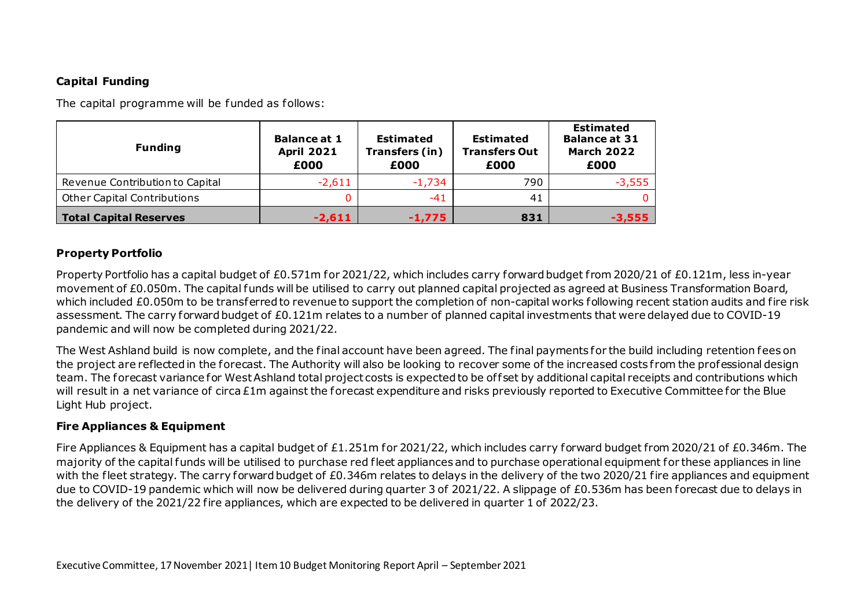# **Capital Funding**

The capital programme will be funded as follows:

| <b>Funding</b>                     | <b>Balance at 1</b><br><b>April 2021</b><br>£000 | <b>Estimated</b><br>Transfers (in)<br>£000 | <b>Estimated</b><br><b>Transfers Out</b><br>£000 | <b>Estimated</b><br><b>Balance at 31</b><br><b>March 2022</b><br>£000 |
|------------------------------------|--------------------------------------------------|--------------------------------------------|--------------------------------------------------|-----------------------------------------------------------------------|
| Revenue Contribution to Capital    | $-2,611$                                         | $-1,734$                                   | 790                                              | $-3,555$                                                              |
| <b>Other Capital Contributions</b> |                                                  | -41                                        | 41                                               |                                                                       |
| <b>Total Capital Reserves</b>      | $-2,611$                                         | $-1.775$                                   | 831                                              | -3,555                                                                |

# **Property Portfolio**

Property Portfolio has a capital budget of £0.571m for 2021/22, which includes carry forward budget from 2020/21 of £0.121m, less in-year movement of £0.050m. The capital funds will be utilised to carry out planned capital projected as agreed at Business Transformation Board, which included £0.050m to be transferred to revenue to support the completion of non-capital works following recent station audits and fire risk assessment. The carry forward budget of £0.121m relates to a number of planned capital investments that were delayed due to COVID-19 pandemic and will now be completed during 2021/22.

The West Ashland build is now complete, and the final account have been agreed. The final payments for the build including retention fees on the project are reflected in the forecast. The Authority will also be looking to recover some of the increased costs from the professional design team. The forecast variance for West Ashland total project costs is expected to be offset by additional capital receipts and contributions which will result in a net variance of circa £1m against the forecast expenditure and risks previously reported to Executive Committee for the Blue Light Hub project.

# **Fire Appliances & Equipment**

Fire Appliances & Equipment has a capital budget of £1.251m for 2021/22, which includes carry forward budget from 2020/21 of £0.346m. The majority of the capital funds will be utilised to purchase red fleet appliances and to purchase operational equipment for these appliances in line with the fleet strategy. The carry forward budget of £0.346m relates to delays in the delivery of the two 2020/21 fire appliances and equipment due to COVID-19 pandemic which will now be delivered during quarter 3 of 2021/22. A slippage of £0.536m has been forecast due to delays in the delivery of the 2021/22 fire appliances, which are expected to be delivered in quarter 1 of 2022/23.